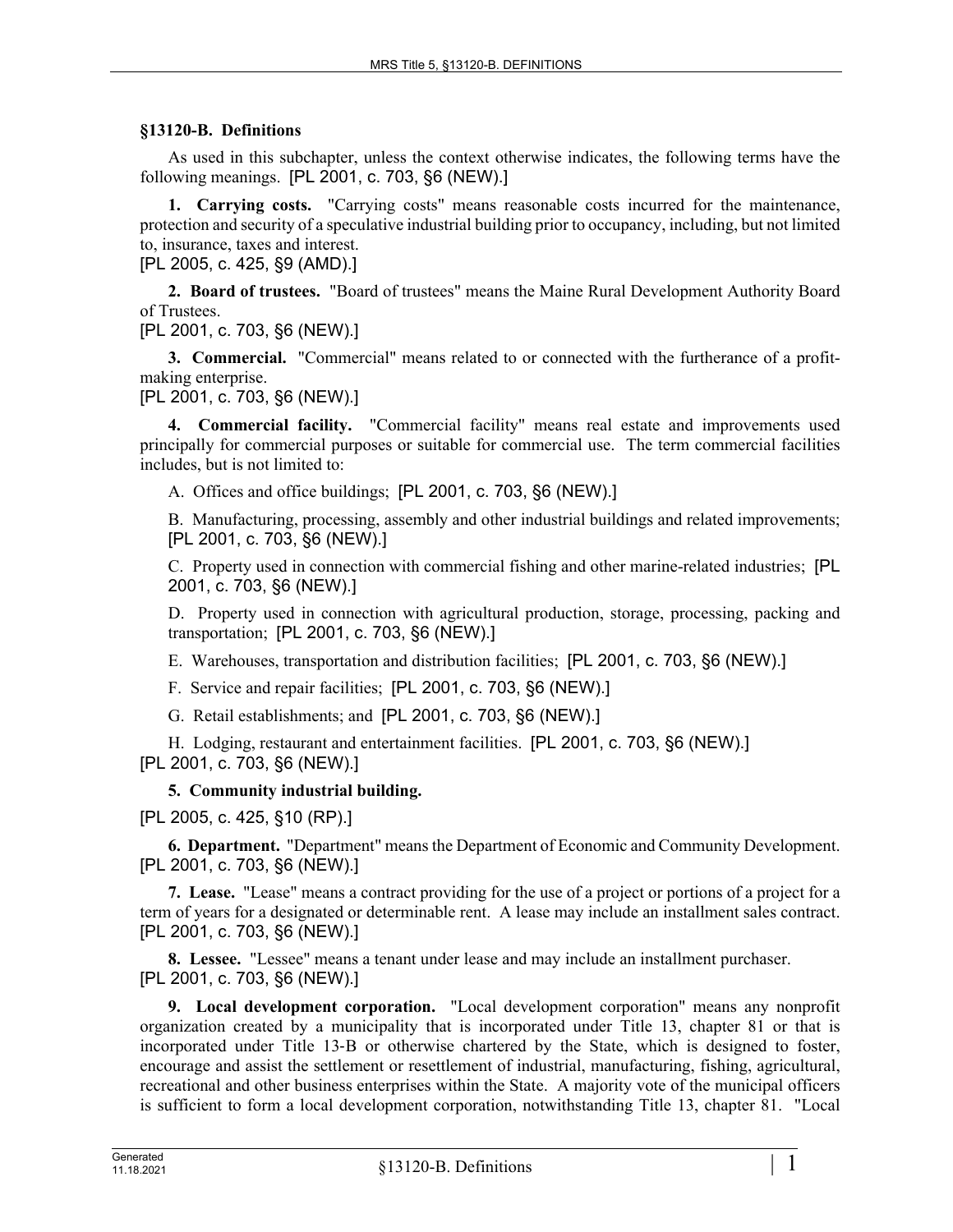## **§13120-B. Definitions**

As used in this subchapter, unless the context otherwise indicates, the following terms have the following meanings. [PL 2001, c. 703, §6 (NEW).]

**1. Carrying costs.** "Carrying costs" means reasonable costs incurred for the maintenance, protection and security of a speculative industrial building prior to occupancy, including, but not limited to, insurance, taxes and interest.

[PL 2005, c. 425, §9 (AMD).]

**2. Board of trustees.** "Board of trustees" means the Maine Rural Development Authority Board of Trustees.

[PL 2001, c. 703, §6 (NEW).]

**3. Commercial.** "Commercial" means related to or connected with the furtherance of a profitmaking enterprise.

[PL 2001, c. 703, §6 (NEW).]

**4. Commercial facility.** "Commercial facility" means real estate and improvements used principally for commercial purposes or suitable for commercial use. The term commercial facilities includes, but is not limited to:

A. Offices and office buildings; [PL 2001, c. 703, §6 (NEW).]

B. Manufacturing, processing, assembly and other industrial buildings and related improvements; [PL 2001, c. 703, §6 (NEW).]

C. Property used in connection with commercial fishing and other marine-related industries; [PL 2001, c. 703, §6 (NEW).]

D. Property used in connection with agricultural production, storage, processing, packing and transportation; [PL 2001, c. 703, §6 (NEW).]

E. Warehouses, transportation and distribution facilities; [PL 2001, c. 703, §6 (NEW).]

F. Service and repair facilities; [PL 2001, c. 703, §6 (NEW).]

G. Retail establishments; and [PL 2001, c. 703, §6 (NEW).]

H. Lodging, restaurant and entertainment facilities. [PL 2001, c. 703, §6 (NEW).] [PL 2001, c. 703, §6 (NEW).]

## **5. Community industrial building.**

[PL 2005, c. 425, §10 (RP).]

**6. Department.** "Department" means the Department of Economic and Community Development. [PL 2001, c. 703, §6 (NEW).]

**7. Lease.** "Lease" means a contract providing for the use of a project or portions of a project for a term of years for a designated or determinable rent. A lease may include an installment sales contract. [PL 2001, c. 703, §6 (NEW).]

**8. Lessee.** "Lessee" means a tenant under lease and may include an installment purchaser. [PL 2001, c. 703, §6 (NEW).]

**9. Local development corporation.** "Local development corporation" means any nonprofit organization created by a municipality that is incorporated under Title 13, chapter 81 or that is incorporated under Title 13‑B or otherwise chartered by the State, which is designed to foster, encourage and assist the settlement or resettlement of industrial, manufacturing, fishing, agricultural, recreational and other business enterprises within the State. A majority vote of the municipal officers is sufficient to form a local development corporation, notwithstanding Title 13, chapter 81. "Local